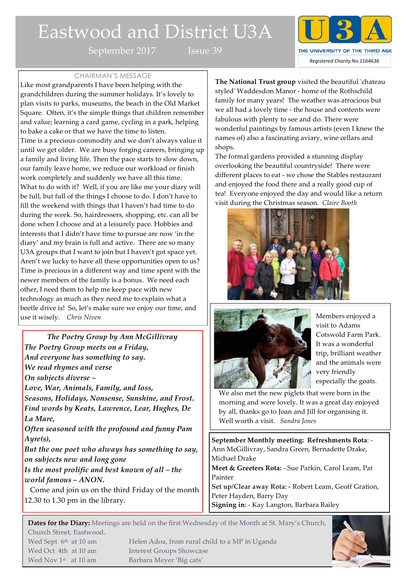# Eastwood and District U3A

September 2017 Issue 39



#### CHAIRMAN'S MESSAGE

Like most grandparents I have been helping with the grandchildren during the summer holidays. It's lovely to plan visits to parks, museums, the beach in the Old Market Square. Often, it's the simple things that children remember and value; learning a card game, cycling in a park, helping to bake a cake or that we have the time to listen. Time is a precious commodity and we don't always value it until we get older. We are busy forging careers, bringing up a family and living life. Then the pace starts to slow down, our family leave home, we reduce our workload or finish work completely and suddenly we have all this time. What to do with it? Well, if you are like me your diary will be full, but full of the things I choose to do. I don't have to fill the weekend with things that I haven't had time to do during the week. So, hairdressers, shopping, etc. can all be done when I choose and at a leisurely pace. Hobbies and interests that I didn't have time to pursue are now 'in the diary' and my brain is full and active. There are so many U3A groups that I want to join but I haven't got space yet. Aren't we lucky to have all these opportunities open to us? Time is precious in a different way and time spent with the newer members of the family is a bonus. We need each other, I need them to help me keep pace with new technology as much as they need me to explain what a beetle drive is! So, let's make sure we enjoy our time, and use it wisely. *Chris Niven*

*The Poetry Group by Ann McGillivray The Poetry Group meets on a Friday, And everyone has something to say. We read rhymes and verse On subjects diverse – Love, War, Animals, Family, and loss, Seasons, Holidays, Nonsense, Sunshine, and Frost. Find words by Keats, Lawrence, Lear, Hughes, De La Mare, Often seasoned with the profound and funny Pam Ayre(s), But the one poet who always has something to say, on subjects new and long gone Is the most prolific and best known of all – the world famous – ANON.*

 Come and join us on the third Friday of the month 12.30 to 1.30 pm in the library.

Wed Oct 4th at 10 am Interest Groups Showcase Wed Nov 1<sup>st</sup> at 10 am Barbara Meyer 'Big cats'

**The National Trust group** visited the beautiful 'chateau styled' Waddesdon Manor - home of the Rothschild family for many years! The weather was atrocious but we all had a lovely time - the house and contents were fabulous with plenty to see and do. There were wonderful paintings by famous artists (even I knew the names of) also a fascinating aviary, wine cellars and shops.

The formal gardens provided a stunning display overlooking the beautiful countryside! There were different places to eat - we chose the Stables restaurant and enjoyed the food there and a really good cup of tea! Everyone enjoyed the day and would like a return visit during the Christmas season. *Claire Booth* 





Members enjoyed a visit to Adams Cotswold Farm Park. It was a wonderful trip, brilliant weather and the animals were very friendly especially the goats.

We also met the new piglets that were born in the morning and were lovely. It was a great day enjoyed by all, thanks go to Joan and Jill for organising it. Well worth a visit. *Sandra Jones*

**September Monthly meeting: Refreshments Rota**: - Ann McGillivray, Sandra Green, Bernadette Drake, Michael Drake

**Meet & Greeters Rota:** -.Sue Parkin, Carol Leam, Pat Painter

**Set up/Clear away Rota: -** Robert Leam, Geoff Gration, Peter Hayden, Barry Day

**Signing in**: - Kay Langton, Barbara Bailey

**Dates for the Diary:** Meetings are held on the first Wednesday of the Month at St. Mary's Church, Church Street, Eastwood. Wed Sept 6<sup>th</sup> at 10 am Helen Adoa, from rural child to a MP in Uganda